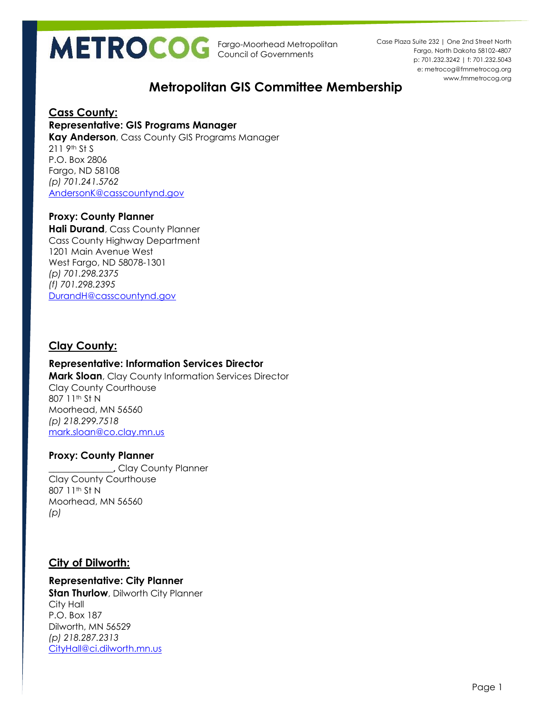

p: 701.232.3242 | f: 701.232.5043 e: metrocog@fmmetrocog.org www.fmmetrocog.org Case Plaza Suite 232 | One 2nd Street North Fargo, North Dakota 58102-4807

# **Metropolitan GIS Committee Membership**

#### **Cass County:**

#### **Representative: GIS Programs Manager**

**Kay Anderson**, Cass County GIS Programs Manager 211 9th St S P.O. Box 2806 Fargo, ND 58108 *(p) 701.241.5762* [AndersonK@casscountynd.gov](mailto:AndersonK@casscountynd.gov)

#### **Proxy: County Planner**

**Hali Durand**, Cass County Planner Cass County Highway Department 1201 Main Avenue West West Fargo, ND 58078-1301 *(p) 701.298.2375 (f) 701.298.2395* [DurandH@casscountynd.gov](mailto:DurandH@casscountynd.gov)

# **Clay County:**

## **Representative: Information Services Director**

**Mark Sloan**, Clay County Information Services Director Clay County Courthouse 807 11th St N Moorhead, MN 56560 *(p) 218.299.7518* [mark.sloan@co.clay.mn.us](mailto:mark.sloan@co.clay.mn.us)

#### **Proxy: County Planner**

**\_\_\_\_\_\_\_\_\_\_\_\_\_,** Clay County Planner Clay County Courthouse 807 11th St N Moorhead, MN 56560 *(p)* 

## **City of Dilworth:**

## **Representative: City Planner**

**Stan Thurlow**, Dilworth City Planner City Hall P.O. Box 187 Dilworth, MN 56529 *(p) 218.287.2313* [CityHall@ci.dilworth.mn.us](mailto:CityHall@ci.dilworth.mn.us)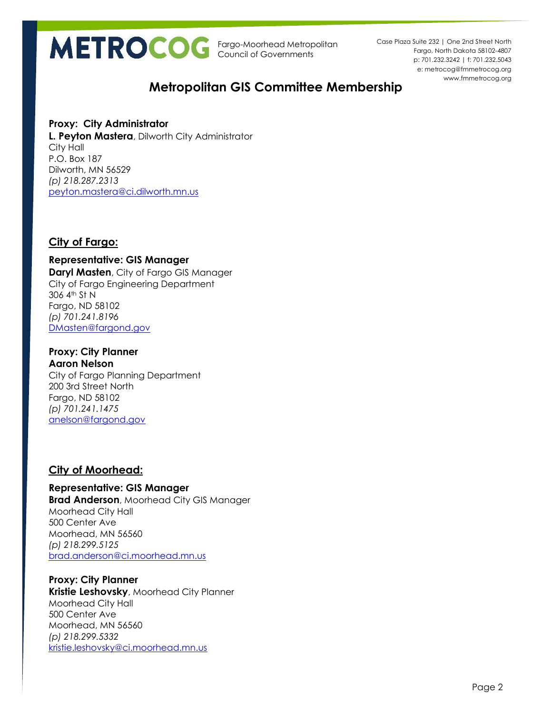

p: 701.232.3242 | f: 701.232.5043 e: metrocog@fmmetrocog.org www.fmmetrocog.org Case Plaza Suite 232 | One 2nd Street North Fargo, North Dakota 58102-4807

# **Metropolitan GIS Committee Membership**

#### **Proxy: City Administrator L. Peyton Mastera**, Dilworth City Administrator City Hall P.O. Box 187 Dilworth, MN 56529 *(p) 218.287.2313* [peyton.mastera@ci.dilworth.mn.us](mailto:peyton.mastera@ci.dilworth.mn.us)

# **City of Fargo:**

**Representative: GIS Manager Daryl Masten**, City of Fargo GIS Manager City of Fargo Engineering Department 306 4th St N Fargo, ND 58102 *(p) 701.241.8196* [DMasten@fargond.gov](mailto:DMasten@fargond.gov)

#### **Proxy: City Planner Aaron Nelson**

City of Fargo Planning Department 200 3rd Street North Fargo, ND 58102 *(p) 701.241.1475* [anelson@fargond.gov](mailto:anelson@fargond.gov)

# **City of Moorhead:**

**Representative: GIS Manager Brad Anderson**, Moorhead City GIS Manager Moorhead City Hall 500 Center Ave Moorhead, MN 56560 *(p) 218.299.5125* [brad.anderson@ci.moorhead.mn.us](mailto:brad.anderson@ci.moorhead.mn.us)

#### **Proxy: City Planner Kristie Leshovsky**, Moorhead City Planner Moorhead City Hall 500 Center Ave Moorhead, MN 56560 *(p) 218.299.5332* [kristie.leshovsky@ci.moorhead.mn.us](mailto:kristie.leshovsky@ci.moorhead.mn.us)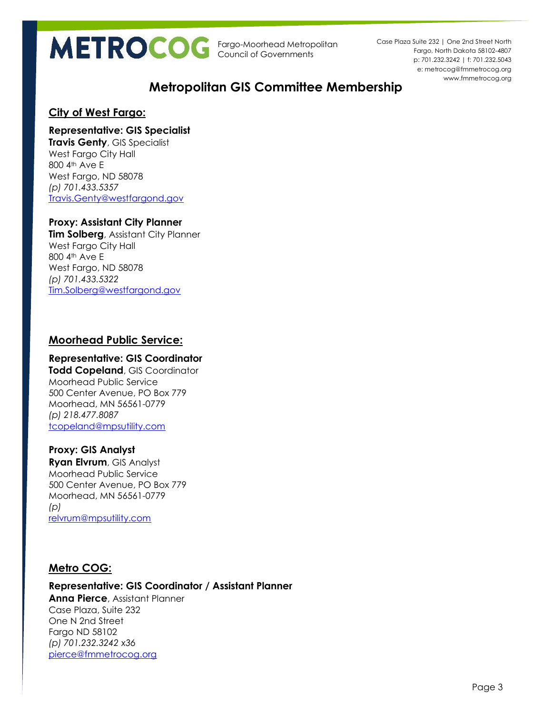p: 701.232.3242 | f: 701.232.5043 e: metrocog@fmmetrocog.org www.fmmetrocog.org Case Plaza Suite 232 | One 2nd Street North Fargo, North Dakota 58102-4807

# **Metropolitan GIS Committee Membership**

# **City of West Fargo:**

#### **Representative: GIS Specialist**

**Travis Genty**, GIS Specialist West Fargo City Hall 800 4th Ave E West Fargo, ND 58078 *(p) 701.433.5357* [Travis.Genty@westfargond.gov](mailto:Travis.Genty@westfargond.gov)

### **Proxy: Assistant City Planner**

**Tim Solberg**, Assistant City Planner West Fargo City Hall 800 4th Ave E West Fargo, ND 58078 *(p) 701.433.5322* [Tim.Solberg@westfargond.gov](mailto:Tim.Solberg@westfargond.gov)

# **Moorhead Public Service:**

#### **Representative: GIS Coordinator**

**Todd Copeland**, GIS Coordinator Moorhead Public Service 500 Center Avenue, PO Box 779 Moorhead, MN 56561-0779 *(p) 218.477.8087* [tcopeland@mpsutility.com](mailto:tcopeland@mpsutility.com)

## **Proxy: GIS Analyst**

**Ryan Elvrum**, GIS Analyst Moorhead Public Service 500 Center Avenue, PO Box 779 Moorhead, MN 56561-0779 *(p)*  [relvrum@mpsutility.com](mailto:relvrum@mpsutility.com)

# **Metro COG:**

#### **Representative: GIS Coordinator / Assistant Planner Anna Pierce**, Assistant Planner Case Plaza, Suite 232 One N 2nd Street Fargo ND 58102 *(p) 701.232.3242 x36* [pierce@fmmetrocog.org](file:///C:/Users/andersonbr/AppData/Local/Microsoft/Windows/Temporary%20Internet%20Files/Content.Outlook/FCQF5YPO/pierce@fmmetrocog.org)